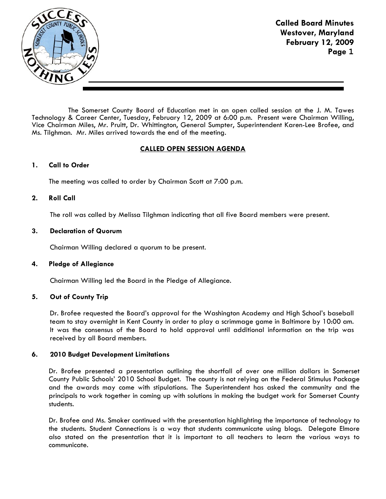

 The Somerset County Board of Education met in an open called session at the J. M. Tawes Technology & Career Center, Tuesday, February 12, 2009 at 6:00 p.m. Present were Chairman Willing, Vice Chairman Miles, Mr. Pruitt, Dr. Whittington, General Sumpter, Superintendent Karen-Lee Brofee, and Ms. Tilghman. Mr. Miles arrived towards the end of the meeting.

# CALLED OPEN SESSION AGENDA

## 1. Call to Order

The meeting was called to order by Chairman Scott at 7:00 p.m.

## 2. Roll Call

The roll was called by Melissa Tilghman indicating that all five Board members were present.

#### 3. Declaration of Quorum

Chairman Willing declared a quorum to be present.

#### 4. Pledge of Allegiance

Chairman Willing led the Board in the Pledge of Allegiance.

#### 5. Out of County Trip

Dr. Brofee requested the Board's approval for the Washington Academy and High School's baseball team to stay overnight in Kent County in order to play a scrimmage game in Baltimore by 10:00 am. It was the consensus of the Board to hold approval until additional information on the trip was received by all Board members.

#### 6. 2010 Budget Development Limitations

 Dr. Brofee presented a presentation outlining the shortfall of over one million dollars in Somerset County Public Schools' 2010 School Budget. The county is not relying on the Federal Stimulus Package and the awards may come with stipulations. The Superintendent has asked the community and the principals to work together in coming up with solutions in making the budget work for Somerset County students.

 Dr. Brofee and Ms. Smoker continued with the presentation highlighting the importance of technology to the students. Student Connections is a way that students communicate using blogs. Delegate Elmore also stated on the presentation that it is important to all teachers to learn the various ways to communicate.